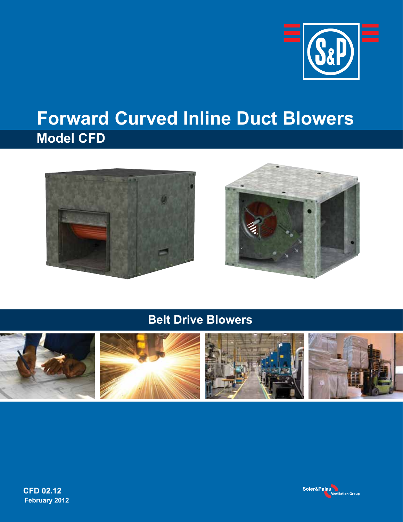

## **Forward Curved Inline Duct Blowers Model CFD**





**Belt Drive Blowers**





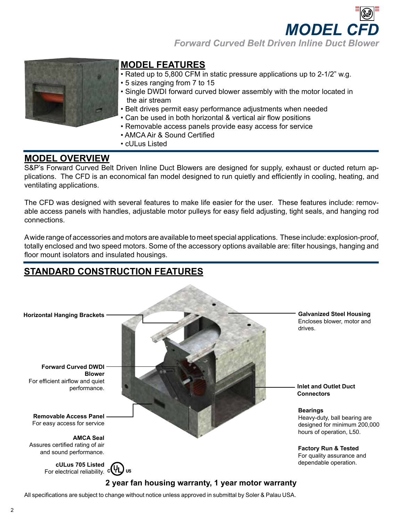**MODEL C** *Forward Curved Belt Driven Inline Duct Blower*



### **Model Features**

- Rated up to 5,800 CFM in static pressure applications up to 2-1/2" w.g.
- 5 sizes ranging from 7 to 15
- Single DWDI forward curved blower assembly with the motor located in the air stream
- Belt drives permit easy performance adjustments when needed
- Can be used in both horizontal & vertical air flow positions
- Removable access panels provide easy access for service
- AMCA Air & Sound Certified
- cULus Listed

### **Model Overview**

S&P's Forward Curved Belt Driven Inline Duct Blowers are designed for supply, exhaust or ducted return applications. The CFD is an economical fan model designed to run quietly and efficiently in cooling, heating, and ventilating applications.

The CFD was designed with several features to make life easier for the user. These features include: removable access panels with handles, adjustable motor pulleys for easy field adjusting, tight seals, and hanging rod connections.

A wide range of accessories and motors are available to meet special applications. These include: explosion-proof, totally enclosed and two speed motors. Some of the accessory options available are: filter housings, hanging and floor mount isolators and insulated housings.

### **standard Construction Features**



All specifications are subject to change without notice unless approved in submittal by Soler & Palau USA.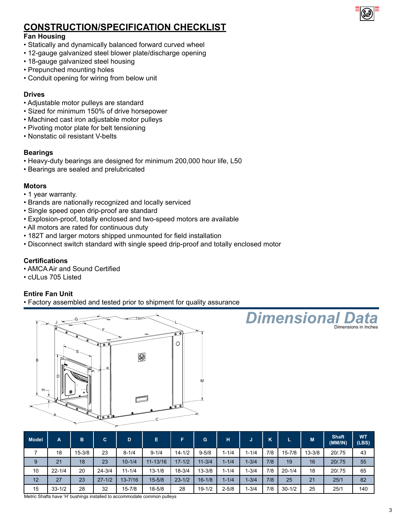

### **Construction/Specification Checklist**

#### **Fan Housing**

- Statically and dynamically balanced forward curved wheel
- 12-gauge galvanized steel blower plate/discharge opening
- 18-gauge galvanized steel housing
- Prepunched mounting holes
- Conduit opening for wiring from below unit

#### **Drives**

- Adjustable motor pulleys are standard
- Sized for minimum 150% of drive horsepower
- Machined cast iron adjustable motor pulleys
- Pivoting motor plate for belt tensioning
- Nonstatic oil resistant V-belts

#### **Bearings**

- Heavy-duty bearings are designed for minimum 200,000 hour life, L50
- Bearings are sealed and prelubricated

#### **Motors**

- 1 year warranty.
- Brands are nationally recognized and locally serviced
- Single speed open drip-proof are standard
- Explosion-proof, totally enclosed and two-speed motors are available
- All motors are rated for continuous duty
- 182T and larger motors shipped unmounted for field installation
- Disconnect switch standard with single speed drip-proof and totally enclosed motor

#### **Certifications**

- AMCA Air and Sound Certified
- cULus 705 Listed

#### **Entire Fan Unit**

• Factory assembled and tested prior to shipment for quality assurance



| <b>Model</b> | A          | B          | C.         | D           | Е            |            | G          | H         | J         | К   |            | M          | <b>Shaft</b><br>(MM/IN) | <b>WT</b><br>(LES) |
|--------------|------------|------------|------------|-------------|--------------|------------|------------|-----------|-----------|-----|------------|------------|-------------------------|--------------------|
|              | 18         | $15 - 3/8$ | 23         | $8 - 1/4$   | $9 - 1/4$    | $14 - 1/2$ | $9 - 5/8$  | $1 - 1/4$ | $1 - 1/4$ | 7/8 | $15 - 7/8$ | $13 - 3/8$ | 20/.75                  | 43                 |
| 9            | 21         | 18         | 23         | $10 - 1/4$  | $11 - 13/16$ | $17 - 1/2$ | $11 - 3/4$ | $1 - 1/4$ | $1 - 3/4$ | 7/8 | 19         | 16         | 20/.75                  | 55                 |
| 10           | $22 - 1/4$ | 20         | $24 - 3/4$ | $11 - 1/4$  | $13 - 1/8$   | $18 - 3/4$ | $13 - 3/8$ | $1 - 1/4$ | 1-3/4     | 7/8 | $20 - 1/4$ | 18         | 20/.75                  | 65                 |
| 12           | 27         | 23         | $27 - 1/2$ | $13 - 7/16$ | $15 - 5/8$   | $23 - 1/2$ | $16 - 1/8$ | $1 - 1/4$ | $1 - 3/4$ | 7/8 | 25         | 21         | 25/1                    | 82                 |
| 15           | $33 - 1/2$ | 28         | 32         | $15 - 7/8$  | $18 - 5/8$   | 28         | $19 - 1/2$ | $2 - 5/8$ | 1-3/4     | 7/8 | $30 - 1/2$ | 25         | 25/1                    | 140                |

**Dimensional** 

Dimensions in In

Metric Shafts have 'H' bushings installed to accommodate common pulleys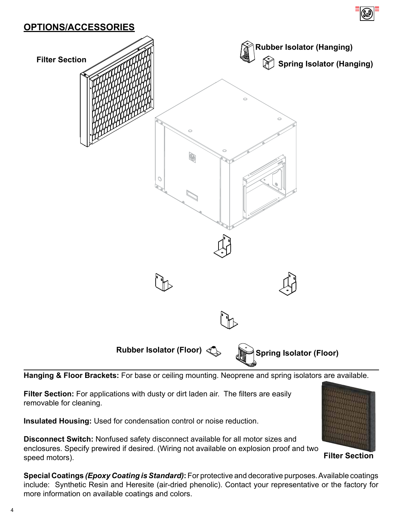



**Hanging & Floor Brackets:** For base or ceiling mounting. Neoprene and spring isolators are available.

**Filter Section:** For applications with dusty or dirt laden air. The filters are easily removable for cleaning.

**Insulated Housing:** Used for condensation control or noise reduction.

**Disconnect Switch:** Nonfused safety disconnect available for all motor sizes and enclosures. Specify prewired if desired. (Wiring not available on explosion proof and two speed motors).

**Filter Section**

**Special Coatings** *(Epoxy Coating is Standard)***:** For protective and decorative purposes. Available coatings include: Synthetic Resin and Heresite (air-dried phenolic). Contact your representative or the factory for more information on available coatings and colors.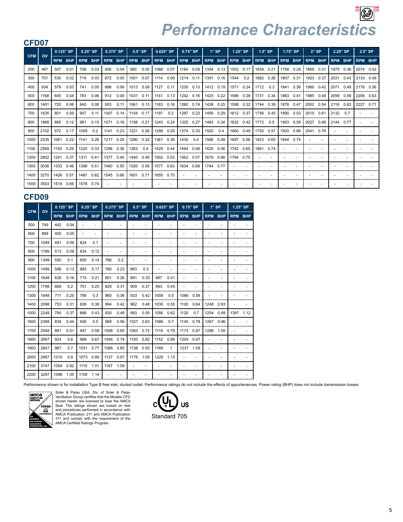| CFD07      |      |            |            |            |            |      |           |            |            |           |           |            |            |            |            |           |                |            |                          |            |                          |            |            |            |                          |            |            |
|------------|------|------------|------------|------------|------------|------|-----------|------------|------------|-----------|-----------|------------|------------|------------|------------|-----------|----------------|------------|--------------------------|------------|--------------------------|------------|------------|------------|--------------------------|------------|------------|
| <b>CFM</b> | ov   |            | 0.125" SP  |            | 0.25" SP   |      | 0.375" SP | $0.5"$ SP  |            |           | 0.625" SP |            | $0.75"$ SP |            | $1"$ SP    |           | 1.25" SP       |            | $1.5"$ SP                |            | 1.75" SP                 | $2"$ SP    |            | 2.25" SP   |                          |            | $2.5"$ SP  |
|            |      | <b>RPM</b> | <b>BHP</b> | <b>RPM</b> | <b>BHP</b> |      | RPM BHP   | <b>RPM</b> | <b>BHP</b> |           | RPM BHP   | <b>RPM</b> | <b>BHP</b> | <b>RPM</b> | <b>BHP</b> |           | <b>RPM BHP</b> | <b>RPM</b> | <b>BHP</b>               | <b>RPM</b> | <b>BHP</b>               | <b>RPM</b> | <b>BHP</b> | <b>RPM</b> | <b>BHP</b>               | <b>RPM</b> | <b>BHP</b> |
| 200        | 467  | 507        | 0.01       | 706        | 0.03       | 856  | 0.04      | 980        | 0.05       | 1088      | 0.07      | 1184 0.09  |            | 1354       | 0.13       | 1502 0.17 |                | 1634       | 0.21                     | 1756 0.26  |                          | 1869       | 0.31       | 1975 0.36  |                          |            | 2074 0.42  |
| 300        | 701  | 530        | 0.02       | 719        | 0.03       | 872  | 0.05      | 1001       | 0.07       | 1114      | 0.09      | 1214       | 0.11       | 1391       | 0.16       | 1544      | 0.2            | 1682       | 0.26                     | 1807 0.31  |                          | 1923       | 0.37       | 2031       | 0.43                     |            | 2133 0.49  |
| 400        | 934  | 579        | 0.03       | 741        | 0.05       | 886  | 0.06      | 1013       | 0.09       | 1127 0.11 |           | 1230 0.13  |            | 1412       | 0.19       | 1571      | 0.24           | 1712       | 0.3                      | 1841       | 0.36                     | 1960       | 0.42       | 2071       | 0.49                     |            | 2176 0.56  |
| 500        | 1168 | 645        | 0.04       | 783        | 0.06       | 912  | 0.08      | 1031       | 0.11       | 1141      | 0.13      | 1242       | 0.16       | 1425       | 0.22       | 1586      | 0.28           | 1731       | 0.34                     | 1863       | 0.41                     | 1985       | 0.48       | 2099       | 0.56                     | 2206       | 0.63       |
| 600        | 1401 | 720        | 0.06       | 840        | 0.08       | 953  | 0.11      | 1061       | 0.13       | 1163      | 0.16      | 1260       | 0.19       | 1438       | 0.25       | 1598      | 0.32           | 1744       | 0.39                     | 1878       | 0.47                     | 2002       | 0.54       | 2118       | 0.62                     | 2227       | 0.71       |
| 700        | 1635 | 801        | 0.09       | 907        | 0.11       | 1007 | 0.14      | 1104       | 0.17       | 1197      | 0.2       | 1287       | 0.23       | 1456       | 0.29       | 1612 0.37 |                | 1756       | 0.45                     | 1890       | 0.53                     | 2015       | 0.61       | 2132       | 0.7                      |            |            |
| 800        | 1868 | 885        | 0.12       | 981        | 0.15       | 1071 | 0.18      | 1158       | 0.21       | 1243      | 0.24      | 1325       | 0.27       | 1483       | 0.34       | 1632 0.42 |                | 1772       | 0.5                      | 1903       | 0.59                     | 2027       | 0.68       | 2144       | 0.77                     |            |            |
| 900        | 2102 | 972        | 0.17       | 1059       | 0.2        |      | 1141 0.23 | 1221       | 0.26       | 1298 0.29 |           | 1374 0.33  |            | 1520       | 0.4        | 1660 0.49 |                | 1793 0.57  |                          | 1920       | 0.66                     | 2041       | 0.76       |            |                          |            |            |
| 1000       | 2335 | 1061       | 0.22       | 1141       | 0.26       | 1217 | 0.29      | 1290       | 0.32       | 1361      | 0.36      | 1430       | 0.4        | 1566       | 0.48       | 1697      | 0.56           | 1823       | 0.65                     | 1944       | 0.74                     |            |            |            |                          |            |            |
| 1100       | 2569 | 1150       | 0.29       | 1225       | 0.33       | 1296 | 0.36      | 1363       | 0.4        | 1429      | 0.44      | 1494       | 0.48       | 1620       | 0.56       | 1742 0.65 |                | 1861       | 0.74                     |            |                          |            |            |            |                          |            |            |
| 1200       | 2802 | 1241       | 0.37       | 1311       | 0.41       | 1377 | 0.45      | 1440       | 0.49       | 1502 0.53 |           | 1562       | 0.57       | 1679       | 0.66       | 1794      | 0.75           |            | $\overline{\phantom{a}}$ |            |                          |            |            |            |                          |            |            |
| 1300       | 3036 | 1333       | 0.46       | 1398       | 0.51       |      | 1460 0.55 | 1520       | 0.59       | 1577 0.63 |           | 1634       | 0.68       | 1744       | 0.77       |           |                |            | $\blacksquare$           |            | $\overline{\phantom{a}}$ |            |            |            | $\overline{\phantom{a}}$ |            |            |
| 1400       | 3270 | 1426       | 0.57       | 1487       | 0.62       |      | 1545 0.66 | 1601       | 0.71       | 1655      | 0.75      |            |            |            |            |           |                |            |                          |            |                          |            |            |            |                          |            |            |
| 1500       | 3503 | 1519       | 0.69       | 1576       | 0.74       |      |           |            |            |           |           |            |            |            |            |           |                |            |                          |            |                          |            |            |            |                          |            |            |

#### **CFD09**

| <b>CFM</b> | OV   | 0.125" SP  |            |            | $0.25"$ SP |            | 0.375" SP  |            | $0.5"$ SP                |            | 0.625" SP                |                          | 0.75" SP   |            | $1"$ SP    |            | 1.25" SP   |
|------------|------|------------|------------|------------|------------|------------|------------|------------|--------------------------|------------|--------------------------|--------------------------|------------|------------|------------|------------|------------|
|            |      | <b>RPM</b> | <b>BHP</b> | <b>RPM</b> | <b>BHP</b> | <b>RPM</b> | <b>BHP</b> | <b>RPM</b> | <b>BHP</b>               | <b>RPM</b> | <b>BHP</b>               | <b>RPM</b>               | <b>BHP</b> | <b>RPM</b> | <b>BHP</b> | <b>RPM</b> | <b>BHP</b> |
| 500        | 749  | 442        | 0.04       | ä,         | ä,         |            |            | ٠          | -                        | ٠          | ٠                        | ٠                        | ä,         |            |            |            |            |
| 600        | 899  | 455        | 0.05       | ä,         | ٠          | ۰          | ٠          | ٠          | $\overline{\phantom{m}}$ | ۰          | $\overline{\phantom{m}}$ | $\overline{\phantom{a}}$ | ٠          | ٠          | ٠          |            |            |
| 700        | 1049 | 481        | 0.06       | 624        | 0.1        |            | ٠          | ٠          | ٠                        | ٠          | -                        |                          | ٠          |            |            |            |            |
| 800        | 1199 | 513        | 0.08       | 634        | 0.12       | ۰          | ٠          | ٠          | ٠                        | ٠          | $\overline{\phantom{m}}$ | ٠                        | ٠          |            | ٠          |            |            |
| 900        | 1349 | 550        | 0.1        | 655        | 0.14       | 766        | 0.2        | ٠          | $\overline{\phantom{m}}$ | ٠          | $\overline{\phantom{m}}$ |                          | ۰          |            | ٠          |            |            |
| 1000       | 1499 | 588        | 0.13       | 683        | 0.17       | 780        | 0.23       | 883        | 0.3                      | ۰          | $\overline{\phantom{m}}$ | ٠                        | ۰          |            | ٠          |            |            |
| 1100       | 1648 | 628        | 0.16       | 715        | 0.21       | 801        | 0.26       | 891        | 0.33                     | 987        | 0.41                     |                          | ٠          |            |            |            |            |
| 1200       | 1798 | 669        | 0.2        | 751        | 0.25       | 829        | 0.31       | 909        | 0.37                     | 993        | 0.45                     |                          | ٠          |            | ٠          |            |            |
| 1300       | 1948 | 711        | 0.25       | 788        | 0.3        | 860        | 0.36       | 933        | 0.42                     | 1008       | 0.5                      | 1086                     | 0.58       |            |            |            |            |
| 1400       | 2098 | 753        | 0.31       | 826        | 0.36       | 894        | 0.42       | 962        | 0.48                     | 1030       | 0.55                     | 1100                     | 0.64       | 1248       | 0.83       |            |            |
| 1500       | 2248 | 795        | 0.37       | 866        | 0.43       | 930        | 0.49       | 993        | 0.55                     | 1056       | 0.62                     | 1120                     | 0.7        | 1254       | 0.89       | 1397       | 1.12       |
| 1600       | 2398 | 838        | 0.44       | 906        | 0.5        | 968        | 0.56       | 1027       | 0.63                     | 1086       | 0.7                      | 1145                     | 0.78       | 1267       | 0.96       |            |            |
| 1700       | 2548 | 881        | 0.51       | 947        | 0.58       | 1006       | 0.65       | 1063       | 0.72                     | 1118       | 0.79                     | 1173                     | 0.87       | 1286       | 1.05       |            |            |
| 1800       | 2697 | 924        | 0.6        | 989        | 0.67       | 1046       | 0.74       | 1100       | 0.82                     | 1152       | 0.89                     | 1204                     | 0.97       |            | ä,         |            |            |
| 1900       | 2847 | 967        | 0.7        | 1031       | 0.77       | 1086       | 0.85       | 1138       | 0.93                     | 1188       | 1                        | 1237                     | 1.09       |            | ä,         |            |            |
| 2000       | 2997 | 1010       | 0.8        | 1073       | 0.89       | 1127       | 0.97       | 1176       | 1.05                     | 1225       | 1.13                     |                          | ÷,         |            |            |            |            |
| 2100       | 3147 | 1054       | 0.92       | 1115       | 1.01       | 1167       | 1.09       |            | $\overline{\phantom{0}}$ | ٠          | $\bar{ }$                |                          | ä,         |            |            |            |            |
| 2200       | 3297 | 1098       | 1.05       | 1158       | 1.14       |            |            |            |                          |            |                          |                          |            |            |            |            |            |

Performance shown is for installation Type B free inlet, ducted outlet. Performance ratings do not include the effects of appurtenances. Power rating (BHP) does not include transmission losses.



Soler & Palau USA, Div. of Soler & Palau<br>Ventilation Group certifies that the Models CFD<br>shown herein are licensed to bear the AMCA<br>Seal. The ratings shown are based on test and procedures performed in accordance with AMCA Publication 211 and AMCA Publication 311 and comply with the requirement of the AMCA Certified Ratings Program.

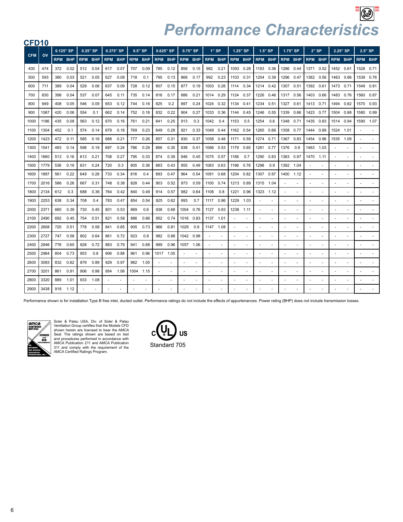| CFD <sub>10</sub> |                        |     |                |     |                |     |                |      |                |                |                |           |                |            |            |           |                |           |                |                |                          |                          |      |                |                          |      |                |
|-------------------|------------------------|-----|----------------|-----|----------------|-----|----------------|------|----------------|----------------|----------------|-----------|----------------|------------|------------|-----------|----------------|-----------|----------------|----------------|--------------------------|--------------------------|------|----------------|--------------------------|------|----------------|
|                   |                        |     | 0.125" SP      |     | $0.25"$ SP     |     | 0.375" SP      |      | $0.5"$ SP      |                | 0.625" SP      |           | $0.75"$ SP     |            | $1"$ SP    |           | 1.25" SP       |           | $1.5"$ SP      |                | 1.75" SP                 | $2"$ SP                  |      |                | 2.25" SP                 |      | $2.5"$ SP      |
| <b>CFM</b>        | $\mathsf{O}\mathsf{V}$ |     | <b>RPM BHP</b> |     | <b>RPM BHP</b> |     | <b>RPM BHP</b> |      | <b>RPM BHP</b> |                | <b>RPM BHP</b> |           | <b>RPM BHP</b> | <b>RPM</b> | <b>BHP</b> |           | <b>RPM BHP</b> |           | <b>RPM BHP</b> | <b>RPM BHP</b> |                          | <b>RPM BHP</b>           |      | <b>RPM BHP</b> |                          |      | <b>RPM BHP</b> |
| 400               | 474                    | 372 | 0.02           | 512 | 0.04           | 617 | 0.07           | 707  | 0.09           | 785            | 0.12           | 856       | 0.15           | 982        | 0.21       | 1093 0.28 |                | 1193      | 0.36           | 1286 0.44      |                          | 1371                     | 0.52 | 1452 0.61      |                          | 1528 | 0.71           |
| 500               | 593                    | 380 | 0.03           | 521 | 0.05           | 627 | 0.08           | 718  | 0.1            | 795            | 0.13           | 866       | 0.17           | 992        | 0.23       | 1103 0.31 |                | 1204      | 0.39           | 1296 0.47      |                          | 1382 0.56                |      | 1463 0.66      |                          | 1539 | 0.76           |
| 600               | 711                    | 389 | 0.04           | 529 | 0.06           | 637 | 0.09           | 728  | 0.12           | 807            | 0.15           | 877       | 0.19           | 1003       | 0.26       | 1114 0.34 |                |           | 1214 0.42      | 1307 0.51      |                          | 1392 0.61                |      | 1473 0.71      |                          |      | 1549 0.81      |
| 700               | 830                    | 398 | 0.04           | 537 | 0.07           | 645 | 0.11           | 735  | 0.14           | 816            | 0.17           | 886       | 0.21           | 1014       | 0.29       | 1124 0.37 |                | 1226      | 0.46           | 1317 0.56      |                          | 1403 0.66                |      | 1483 0.76      |                          |      | 1560 0.87      |
| 800               | 949                    | 408 | 0.05           | 546 | 0.09           | 653 | 0.12           | 744  | 0.16           | 825            | 0.2            | 897       | 0.24           | 1024       | 0.32       | 1134 0.41 |                | 1234      | 0.51           | 1327           | 0.61                     | 1413 0.71                |      | 1494 0.82      |                          |      | 1570 0.93      |
| 900               | 1067                   | 420 | 0.06           | 554 | 0.1            | 662 | 0.14           | 752  | 0.18           | 832            | 0.22           | 904       | 0.27           | 1033       | 0.36       | 1144      | 0.45           | 1246      | 0.55           | 1339           | 0.66                     | 1423                     | 0.77 | 1504 0.88      |                          | 1580 | 0.99           |
| 1000              | 1186                   | 435 | 0.08           | 563 | 0.12           | 670 | 0.16           | 761  | 0.21           | 841            | 0.25           | 913       | 0.3            | 1042       | 0.4        | 1153      | 0.5            | 1254      | 0.6            | 1348 0.71      |                          | 1435 0.83                |      | 1514 0.94      |                          | 1590 | 1.07           |
| 1100              | 1304                   | 452 | 0.1            | 574 | 0.14           | 679 | 0.18           | 769  | 0.23           | 849            | 0.28           | 921       | 0.33           | 1049       | 0.44       | 1162 0.54 |                | 1265      | 0.66           | 1358 0.77      |                          | 1444 0.89                |      | 1524 1.01      |                          |      |                |
| 1200              | 1423                   | 472 | 0.11           | 585 | 0.16           | 688 | 0.21           | 777  | 0.26           | 857            | 0.31           | 930       | 0.37           | 1058       | 0.48       | 1171      | 0.59           | 1274 0.71 |                | 1367 0.83      |                          | 1454 0.96                |      | 1535 1.09      |                          |      | $\sim$         |
| 1300              | 1541                   | 493 | 0.14           | 598 | 0.18           | 697 | 0.24           | 786  | 0.29           | 866            | 0.35           | 938       | 0.41           | 1066       | 0.53       | 1179 0.65 |                | 1281      | 0.77           | 1376           | 0.9                      | 1463                     | 1.03 |                |                          |      |                |
| 1400              | 1660                   | 513 | 0.16           | 613 | 0.21           | 708 | 0.27           | 795  | 0.33           | 874            | 0.39           | 946       | 0.45           | 1075       | 0.57       | 1188      | 0.7            | 1290      | 0.83           | 1383           | 0.97                     | 1470                     | 1.11 |                | $\overline{a}$           |      |                |
| 1500              | 1779                   | 536 | 0.19           | 631 | 0.24           | 720 | 0.3            | 805  | 0.36           | 883            | 0.43           | 955       | 0.49           | 1083       | 0.63       | 1196 0.76 |                | 1298      | 0.9            | 1392           | 1.04                     | ٠                        |      |                | ٠                        |      |                |
| 1600              | 1897                   | 561 | 0.22           | 649 | 0.28           | 733 | 0.34           | 816  | 0.4            | 893            | 0.47           | 964       | 0.54           | 1091       | 0.68       | 1204 0.82 |                | 1307      | 0.97           | 1400 1.12      |                          | $\sim$                   |      |                |                          |      |                |
| 1700              | 2016                   | 586 | 0.26           | 667 | 0.31           | 748 | 0.38           | 828  | 0.44           | 903            | 0.52           | 973       | 0.59           | 1100       | 0.74       | 1213 0.89 |                | 1315      | 1.04           |                |                          | ٠                        |      |                |                          |      | $\sim$         |
| 1800              | 2134                   | 612 | 0.3            | 688 | 0.36           | 764 | 0.42           | 840  | 0.49           | 914            | 0.57           | 982       | 0.64           | 1108       | 0.8        | 1221      | 0.96           | 1323      | 1.12           |                |                          |                          |      |                |                          |      |                |
| 1900              | 2253                   | 638 | 0.34           | 708 | 0.4            | 783 | 0.47           | 854  | 0.54           | 925            | 0.62           | 993       | 0.7            | 1117       | 0.86       | 1229 1.03 |                |           | ٠              |                |                          |                          |      |                |                          |      |                |
| 2000              | 2371                   | 665 | 0.39           | 730 | 0.45           | 801 | 0.53           | 869  | 0.6            | 938            | 0.68           | 1004      | 0.76           | 1127       | 0.93       | 1238 1.11 |                |           | $\blacksquare$ |                |                          | ٠                        |      |                |                          |      |                |
| 2100              | 2490                   | 692 | 0.45           | 754 | 0.51           | 821 | 0.58           | 886  | 0.66           | 952            | 0.74           | 1016 0.83 |                | 1137       | 1.01       |           |                |           | $\overline{a}$ |                | $\ddot{\phantom{1}}$     | ÷.                       |      |                |                          |      |                |
| 2200              | 2608                   | 720 | 0.51           | 778 | 0.58           | 841 | 0.65           | 905  | 0.73           | 966            | 0.81           | 1029      | 0.9            | 1147       | 1.08       |           |                |           | $\overline{a}$ |                |                          | ÷,                       |      |                |                          |      |                |
| 2300              | 2727                   | 747 | 0.58           | 802 | 0.64           | 861 | 0.72           | 923  | 0.8            | 982            | 0.88           |           | 1042 0.98      |            |            |           |                |           | ä,             |                |                          |                          |      |                |                          |      |                |
| 2400              | 2846                   | 776 | 0.65           | 828 | 0.72           | 883 | 0.79           | 941  | 0.88           | 999            | 0.96           | 1057      | 1.06           |            |            |           |                |           | $\sim$         |                | $\ddot{\phantom{1}}$     | $\overline{a}$           |      |                | $\overline{\phantom{a}}$ |      |                |
| 2500              | 2964                   | 804 | 0.73           | 853 | 0.8            | 906 | 0.88           | 961  | 0.96           |                | 1017 1.05      |           |                |            |            |           |                |           | ÷,             |                |                          | $\overline{\phantom{a}}$ |      |                |                          |      |                |
| 2600              | 3083                   | 832 | 0.82           | 879 | 0.89           | 929 | 0.97           | 982  | 1.05           |                |                |           |                |            |            |           |                |           | ٠              |                | $\overline{\phantom{a}}$ | ÷                        |      |                |                          |      |                |
| 2700              | 3201                   | 861 | 0.91           | 906 | 0.98           | 954 | 1.06           | 1004 | 1.15           | $\overline{a}$ |                | ٠         |                | ٠          |            | ٠         |                |           | ٠              |                |                          | $\sim$                   |      |                |                          |      |                |
| 2800              | 3320                   | 889 | 1.01           | 933 | 1.08           |     |                |      |                |                |                |           |                |            |            |           |                |           |                |                |                          |                          |      |                |                          |      |                |
| 2900              | 3438                   | 918 | 1.12           |     |                |     |                |      |                |                |                |           |                |            |            |           |                |           |                |                |                          |                          |      |                |                          |      |                |

Performance shown is for installation Type B free inlet, ducted outlet. Performance ratings do not include the effects of appurtenances. Power rating (BHP) does not include transmission losses.



Soler & Palau USA, Div. of Soler & Palau Ventilation Group certifies that the Models CFD shown herein are licensed to bear the AMCA Seal. The ratings shown are based on test and procedures performed in accordance with AMCA Publication 211 and AMCA Publication 311 and comply with the requirement of the AMCA Certified Ratings Program.

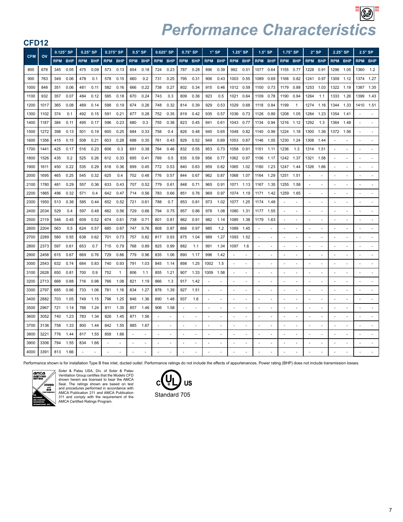| <b>CFD12</b> |      |     |                |            |            |     |                |            |            |                          |                |                          |                          |            |                          |                |      |            |                          |                          |              |                |                          |                          |                          |            |                          |
|--------------|------|-----|----------------|------------|------------|-----|----------------|------------|------------|--------------------------|----------------|--------------------------|--------------------------|------------|--------------------------|----------------|------|------------|--------------------------|--------------------------|--------------|----------------|--------------------------|--------------------------|--------------------------|------------|--------------------------|
| <b>CFM</b>   | OV   |     | 0.125" SP      |            | $0.25"$ SP |     | 0.375" SP      |            | $0.5"$ SP  |                          | 0.625" SP      |                          | $0.75"$ SP               | $1"$ SP    |                          | 1.25" SP       |      |            | $1.5"$ SP                | 1.75" SP                 |              |                | $2"$ SP                  | 2.25" SP                 |                          |            | $2.5"$ SP                |
|              |      |     | <b>RPM BHP</b> | <b>RPM</b> | <b>BHP</b> |     | <b>RPM BHP</b> | <b>RPM</b> | <b>BHP</b> |                          | <b>RPM BHP</b> |                          | <b>RPM BHP</b>           | <b>RPM</b> | <b>BHP</b>               | <b>RPM BHP</b> |      | <b>RPM</b> | <b>BHP</b>               | <b>RPM BHP</b>           |              |                | <b>RPM BHP</b>           | <b>RPM BHP</b>           |                          | <b>RPM</b> | <b>BHP</b>               |
| 800          | 678  | 345 | 0.05           | 475        | 0.09       | 573 | 0.13           | 654        | 0.18       | 724                      | 0.23           | 787                      | 0.28                     | 896        | 0.39                     | 992            | 0.51 | 1077       | 0.64                     | 1155                     | 0.77         | 1228           | 0.91                     | 1296                     | 1.05                     | 1360       | 1.2                      |
| 900          | 763  | 349 | 0.06           | 478        | 0.1        | 578 | 0.15           | 660        | 0.2        | 731                      | 0.25           | 795                      | 0.31                     | 906        | 0.43                     | 1003 0.55      |      | 1089       | 0.69                     | 1168                     | 0.82         | 1241           | 0.97                     | 1309 1.12                |                          | 1374       | 1.27                     |
| 1000         | 848  | 351 | 0.06           | 481        | 0.11       | 582 | 0.16           | 666        | 0.22       | 738                      | 0.27           | 802                      | 0.34                     | 915        | 0.46                     | 1012 0.59      |      | 1100       | 0.73                     | 1179                     | 0.88         | 1253           | 1.03                     | 1322 1.19                |                          | 1387       | 1.35                     |
| 1100         | 932  | 357 | 0.07           | 484        | 0.12       | 585 | 0.18           | 670        | 0.24       | 743                      | 0.3            | 809                      | 0.36                     | 923        | 0.5                      | 1021           | 0.64 | 1109       | 0.78                     | 1190                     | 0.94         | 1264           | 1.1                      | 1333                     | 1.26                     | 1399       | 1.43                     |
| 1200         | 1017 | 365 | 0.08           | 489        | 0.14       | 588 | 0.19           | 674        | 0.26       | 748                      | 0.32           | 814                      | 0.39                     | 929        | 0.53                     | 1029           | 0.68 | 1118       | 0.84                     | 1199                     | $\mathbf{1}$ | 1274           | 1.16                     | 1344                     | 1.33                     | 1410       | 1.51                     |
| 1300         | 1102 | 374 | 0.1            | 492        | 0.15       | 591 | 0.21           | 677        | 0.28       | 752                      | 0.35           | 819                      | 0.42                     | 935        | 0.57                     | 1036 0.73      |      | 1126       | 0.89                     | 1208                     | 1.05         | 1284           | 1.23                     | 1354                     | 1.41                     |            | ÷.                       |
| 1400         | 1187 | 384 | 0.11           | 495        | 0.17       | 596 | 0.23           | 680        | 0.3        | 755                      | 0.38           | 823                      | 0.45                     | 941        | 0.61                     | 1043 0.77      |      | 1134       | 0.94                     | 1216                     | 1.12         | 1292           | 1.3                      | 1364                     | 1.48                     |            |                          |
| 1500         | 1272 | 398 | 0.13           | 501        | 0.19       | 600 | 0.25           | 684        | 0.33       | 758                      | 0.4            | 826                      | 0.48                     | 945        | 0.65                     | 1048 0.82      |      | 1140       | 0.99                     | 1224                     | 1.18         | 1300           | 1.36                     | 1372 1.56                |                          |            |                          |
| 1600         | 1356 | 415 | 0.15           | 508        | 0.21       | 603 | 0.28           | 688        | 0.35       | 761                      | 0.43           | 829                      | 0.52                     | 949        | 0.69                     | 1053 0.87      |      | 1146       | 1.05                     | 1230                     | 1.24         | 1308           | 1.44                     |                          | ٠                        |            | $\sim$                   |
| 1700         | 1441 | 425 | 0.17           | 516        | 0.23       | 606 | 0.3            | 691        | 0.38       | 764                      | 0.46           | 832                      | 0.55                     | 953        | 0.73                     | 1058           | 0.91 | 1151       | 1.11                     | 1236                     | 1.3          | 1314 1.51      |                          |                          |                          |            |                          |
| 1800         | 1526 | 435 | 0.2            | 525        | 0.26       | 612 | 0.33           | 695        | 0.41       | 769                      | 0.5            | 835                      | 0.59                     | 956        | 0.77                     | 1062 0.97      |      | 1156       | 1.17                     | 1242                     | 1.37         | 1321           | 1.58                     |                          | ٠                        |            | $\blacksquare$           |
| 1900         | 1611 | 450 | 0.22           | 535        | 0.29       | 618 | 0.36           | 699        | 0.45       | 772                      | 0.53           | 840                      | 0.63                     | 959        | 0.82                     | 1065           | 1.02 | 1160       | 1.23                     | 1247                     | 1.44         | 1326           | 1.66                     |                          | ٠                        |            | $\overline{\phantom{a}}$ |
| 2000         | 1695 | 465 | 0.25           | 545        | 0.32       | 625 | 0.4            | 702        | 0.48       | 776                      | 0.57           | 844                      | 0.67                     | 962        | 0.87                     | 1068           | 1.07 | 1164       | 1.29                     | 1251                     | 1.51         | $\sim$         |                          |                          | ÷                        |            | à.                       |
| 2100         | 1780 | 481 | 0.29           | 557        | 0.36       | 633 | 0.43           | 707        | 0.52       | 779                      | 0.61           | 848                      | 0.71                     | 965        | 0.91                     | 1071           | 1.13 | 1167       | 1.35                     | 1255                     | 1.58         | ×.             | ÷,                       |                          | ÷                        |            | $\blacksquare$           |
| 2200         | 1865 | 496 | 0.32           | 571        | 0.4        | 642 | 0.47           | 714        | 0.56       | 783                      | 0.66           | 851                      | 0.76                     | 969        | 0.97                     | 1074           | 1.19 | 1171       | 1.42                     | 1259                     | 1.65         | $\sim$         | ä,                       | ÷,                       | ä,                       |            | $\sim$                   |
| 2300         | 1950 | 513 | 0.36           | 585        | 0.44       | 652 | 0.52           | 721        | 0.61       | 788                      | 0.7            | 853                      | 0.81                     | 973        | 1.02                     | 1077           | 1.25 | 1174       | 1.48                     |                          |              |                |                          |                          | ÷                        |            | à.                       |
| 2400         | 2034 | 529 | 0.4            | 597        | 0.48       | 662 | 0.56           | 729        | 0.66       | 794                      | 0.75           | 857                      | 0.86                     | 978        | 1.08                     | 1080           | 1.31 | 1177       | 1.55                     |                          | ÷,           | ä,             | ÷,                       | ÷,                       | ÷,                       |            | ÷,                       |
| 2500         | 2119 | 546 | 0.45           | 609        | 0.52       | 674 | 0.61           | 738        | 0.71       | 801                      | 0.81           | 862                      | 0.91                     | 982        | 1.14                     | 1085           | 1.38 | 1179       | 1.63                     |                          | ÷.           | ÷.             | ÷,                       | $\ddot{\phantom{1}}$     | ÷.                       |            | ×.                       |
| 2600         | 2204 | 563 | 0.5            | 624        | 0.57       | 685 | 0.67           | 747        | 0.76       | 808                      | 0.87           | 868                      | 0.97                     | 985        | 1.2                      | 1089           | 1.45 |            | ×.                       |                          | ÷,           | $\sim$         | ٠                        | $\ddot{\phantom{1}}$     | ÷.                       |            | $\sim$                   |
| 2700         | 2289 | 580 | 0.55           | 638        | 0.62       | 701 | 0.73           | 757        | 0.82       | 817                      | 0.93           | 875                      | 1.04                     | 989        | 1.27                     | 1093           | 1.52 |            | ×.                       |                          | L.           | $\overline{a}$ | ÷,                       |                          |                          |            | ÷.                       |
| 2800         | 2373 | 597 | 0.61           | 653        | 0.7        | 715 | 0.79           | 768        | 0.89       | 825                      | 0.99           | 882                      | 1.1                      | 991        | 1.34                     | 1097           | 1.6  |            |                          |                          |              |                |                          |                          |                          |            |                          |
| 2900         | 2458 | 615 | 0.67           | 669        | 0.76       | 729 | 0.86           | 779        | 0.96       | 835                      | 1.06           | 890                      | 1.17                     | 996        | 1.42                     |                |      |            |                          |                          |              |                |                          |                          |                          |            |                          |
| 3000         | 2543 | 632 | 0.74           | 684        | 0.83       | 740 | 0.93           | 791        | 1.03       | 845                      | 1.14           | 898                      | 1.25                     | 1002       | 1.5                      | $\sim$         |      |            |                          |                          | ä,           |                |                          |                          | ÷,                       |            | ÷,                       |
| 3100         | 2628 | 650 | 0.81           | 700        | 0.9        | 752 | $\mathbf{1}$   | 806        | 1.1        | 855                      | 1.21           | 907                      | 1.33                     | 1009       | 1.58                     | $\blacksquare$ |      |            | $\sim$                   | ÷,                       | ÷,           | ÷.             | ÷,                       |                          | ä,                       |            | ÷,                       |
| 3200         | 2713 | 668 | 0.88           | 716        | 0.98       | 766 | 1.08           | 821        | 1.19       | 866                      | 1.3            | 917                      | 1.42                     |            |                          | ä,             |      | ÷,         | ×.                       | $\sim$                   | ÷,           | ×.             | ä,                       |                          | ٠                        |            | ÷.                       |
| 3300         | 2797 | 685 | 0.96           | 733        | 1.06       | 781 | 1.16           | 834        | 1.27       | 878                      | 1.39           | 927                      | 1.51                     | ä,         | ÷,                       | ä,             |      |            | ×.                       |                          | ä,           | ÷.             | ä,                       |                          | ÷                        |            | $\overline{\phantom{a}}$ |
| 3400         | 2882 | 703 | 1.05           | 749        | 1.15       | 796 | 1.25           | 846        | 1.36       | 890                      | 1.48           | 937                      | 1.6                      | ä,         |                          | ä,             |      | ÷,         | $\sim$                   | ÷.                       | ÷,           | ÷.             | $\overline{\phantom{a}}$ |                          | ÷.                       | ÷,         | ÷.                       |
| 3500         | 2967 | 721 | 1.14           | 766        | 1.24       | 811 | 1.35           | 857        | 1.46       | 906                      | 1.58           |                          | ٠                        |            |                          |                |      |            |                          |                          |              |                |                          |                          |                          |            |                          |
| 3600         | 3052 | 740 | 1.23           | 783        | 1.34       | 826 | 1.45           | 871        | 1.56       |                          | ÷,             |                          |                          |            |                          |                |      |            |                          |                          |              |                |                          |                          |                          |            | ÷,                       |
| 3700         | 3136 | 758 | 1.33           | 800        | 1.44       | 842 | 1.55           | 885        | 1.67       | $\overline{\phantom{a}}$ | ÷,             | $\overline{\phantom{a}}$ | $\overline{\phantom{a}}$ | ä,         | $\overline{\phantom{a}}$ | ×.             |      | ÷,         | $\overline{\phantom{a}}$ | $\overline{\phantom{a}}$ | ×,           | ÷,             | ÷,                       | $\ddot{\phantom{1}}$     | $\overline{\phantom{m}}$ |            | $\overline{\phantom{a}}$ |
| 3800         | 3221 | 776 | 1.44           | 817        | 1.55       | 858 | 1.66           |            | $\sim$     |                          | ä,             |                          | ×.                       |            | $\sim$                   | ÷.             |      | ä,         | ×.                       |                          | ä,           | ä,             | ä,                       | $\sim$                   | ä,                       |            | $\overline{\phantom{a}}$ |
| 3900         | 3306 | 794 | 1.55           | 834        | 1.66       | ÷   | ÷              |            | ä,         | $\overline{\phantom{a}}$ | ä,             | $\sim$                   | $\sim$                   | ÷          | $\sim$                   | $\sim$         |      | ÷,         | ×.                       |                          | ÷,           | $\sim$         | ÷.                       | $\overline{\phantom{a}}$ | ÷                        | ÷          | ÷.                       |
| 4000         | 3391 | 813 | 1.66           |            |            |     |                |            |            |                          |                |                          | ä,                       |            |                          |                |      |            |                          |                          |              |                |                          |                          |                          |            |                          |

Performance shown is for installation Type B free inlet, ducted outlet. Performance ratings do not include the effects of appurtenances. Power rating (BHP) does not include transmission losses.



Soler & Palau USA, Div. of Soler & Palau Ventilation Group certifies that the Models CFD shown herein are licensed to bear the AMCA Seal. The ratings shown are based on test and procedures performed in accordance with AMCA Publication 211 and AMCA Publication 311 and comply with the requirement of the AMCA Certified Ratings Program.

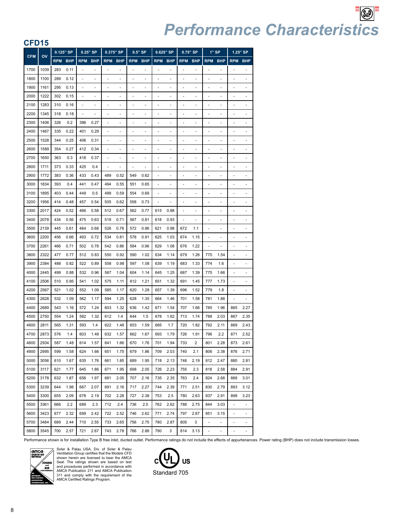| ◡┌⊃        | 10   |            |            |            |             |            |            |            |            |            |            |                |                |                          |                |                          |                          |
|------------|------|------------|------------|------------|-------------|------------|------------|------------|------------|------------|------------|----------------|----------------|--------------------------|----------------|--------------------------|--------------------------|
| <b>CFM</b> | OV   | 0.125" SP  |            |            | $0.25$ " SP |            | 0.375" SP  |            | $0.5"$ SP  |            | 0.625" SP  |                | 0.75" SP       |                          | $1"$ SP        |                          | 1.25" SP                 |
|            |      | <b>RPM</b> | <b>BHP</b> | <b>RPM</b> | <b>BHP</b>  | <b>RPM</b> | <b>BHP</b> | <b>RPM</b> | <b>BHP</b> | <b>RPM</b> | <b>BHP</b> | <b>RPM</b>     | <b>BHP</b>     | <b>RPM</b>               | <b>BHP</b>     | <b>RPM</b>               | <b>BHP</b>               |
| 1700       | 1039 | 283        | 0.11       |            | ٠           |            |            |            | ٠          |            | ٠          |                | ٠              |                          | ä,             |                          |                          |
| 1800       | 1100 | 289        | 0.12       | ä,         | ä,          |            | ä,         |            | ä,         | ٠          | ٠          | ä,             | ä,             |                          | ä,             |                          |                          |
| 1900       | 1161 | 295        | 0.13       |            | -           |            |            |            | ٠          |            | -          |                | ٠              |                          |                |                          |                          |
| 2000       | 1222 | 302        | 0.15       | ÷,         | -           | -          | ٠          | ٠          | ٠          | -          | ٠          | ٠              | ٠              | ٠                        | ٠              |                          |                          |
| 2100       | 1283 | 310        | 0.16       | ٠          | ٠           |            | ٠          | ٠          | ٠          | ä,         | ٠          | ä,             | ٠              |                          |                |                          |                          |
| 2200       | 1345 | 318        | 0.18       | ٠          |             |            |            |            | ٠          |            | ٠          | -              |                |                          |                |                          |                          |
| 2300       | 1406 | 326        | 0.2        | 396        | 0.27        |            |            |            |            |            |            |                |                |                          |                |                          |                          |
| 2400       | 1467 | 335        | 0.22       | 401        | 0.29        | ٠          | -          | -          | -          | -          | -          | ٠              | $\overline{a}$ |                          | $\overline{a}$ |                          |                          |
| 2500       | 1528 | 344        | 0.25       | 406        | 0.31        | ä,         |            | ä,         | ä,         | ÷,         | ä,         | ä,             | ä,             |                          |                |                          |                          |
| 2600       | 1589 | 354        | 0.27       | 412        | 0.34        |            |            |            |            |            |            |                |                |                          |                |                          |                          |
| 2700       | 1650 | 363        | 0.3        | 418        | 0.37        |            |            |            | L,         |            |            | ä,             | ä,             |                          |                |                          |                          |
| 2800       | 1711 | 373        | 0.33       | 425        | 0.4         |            |            |            |            |            | ٠          |                | ٠              |                          |                |                          |                          |
| 2900       | 1772 | 383        | 0.36       | 433        | 0.43        | 489        | 0.52       | 549        | 0.62       | ä,         | ä,         | ä,             | ä,             |                          | ä,             |                          |                          |
| 3000       | 1834 | 393        | 0.4        | 441        | 0.47        | 494        | 0.55       | 551        | 0.65       | ٠          | ٠          | ä,             | ٠              |                          |                |                          |                          |
| 3100       | 1895 | 403        | 0.44       | 449        | 0.5         | 499        | 0.59       | 554        | 0.69       | ٠          | ٠          | ä,             | ٠              |                          | ٠              |                          |                          |
| 3200       | 1956 | 414        | 0.48       | 457        | 0.54        | 505        | 0.62       | 558        | 0.73       |            |            |                | ٠              |                          |                |                          |                          |
| 3300       | 2017 | 424        | 0.52       | 466        | 0.58        | 512        | 0.67       | 562        | 0.77       | 615        | 0.88       | $\overline{a}$ | ٠              | ٠                        | ٠              |                          |                          |
| 3400       | 2078 | 434        | 0.56       | 475        | 0.63        | 519        | 0.71       | 567        | 0.81       | 618        | 0.93       | i,             |                |                          |                |                          |                          |
| 3500       | 2139 | 445        | 0.61       | 484        | 0.68        | 526        | 0.76       | 572        | 0.86       | 621        | 0.98       | 672            | 1.1            | ٠                        |                |                          |                          |
| 3600       | 2200 | 456        | 0.66       | 493        | 0.72        | 534        | 0.81       | 578        | 0.91       | 625        | 1.03       | 674            | 1.15           |                          |                |                          |                          |
| 3700       | 2261 | 466        | 0.71       | 502        | 0.78        | 542        | 0.86       | 584        | 0.96       | 629        | 1.08       | 676            | 1.22           |                          |                |                          |                          |
| 3800       | 2322 | 477        | 0.77       | 512        | 0.83        | 550        | 0.92       | 590        | 1.02       | 634        | 1.14       | 679            | 1.26           | 770                      | 1.54           |                          |                          |
| 3900       | 2384 | 488        | 0.82       | 522        | 0.89        | 558        | 0.98       | 597        | 1.08       | 639        | 1.19       | 683            | 1.33           | 774                      | 1.6            |                          |                          |
| 4000       | 2445 | 499        | 0.88       | 532        | 0.96        | 567        | 1.04       | 604        | 1.14       | 645        | 1.25       | 687            | 1.39           | 775                      | 1.66           |                          |                          |
| 4100       | 2506 | 510        | 0.95       | 541        | 1.02        | 575        | 1.11       | 612        | 1.21       | 651        | 1.32       | 691            | 1.45           | 777                      | 1.73           |                          |                          |
| 4200       | 2567 | 521        | 1.02       | 552        | 1.09        | 585        | 1.17       | 620        | 1.28       | 657        | 1.39       | 696            | 1.52           | 779                      | 1.8            | ä,                       |                          |
| 4300       | 2628 | 532        | 1.09       | 562        | 1.17        | 594        | 1.25       | 628        | 1.35       | 664        | 1.46       | 701            | 1.58           | 781                      | 1.88           |                          |                          |
| 4400       | 2689 | 543        | 1.16       | 572        | 1.24        | 603        | 1.32       | 636        | 1.42       | 671        | 1.54       | 707            | 1.66           | 785                      | 1.96           | 865                      | 2.27                     |
| 4500       | 2750 | 554        | 1.24       | 582        | 1.32        | 612        | 1.4        | 644        | 1.5        | 678        | 1.62       | 713            | 1.74           | 788                      | 2.03           | 867                      | 2.35                     |
| 4600       | 2811 | 565        | 1.31       | 593        | 1.4         | 622        | 1.48       | 653        | 1.59       | 685        | 1.7        | 720            | 1.82           | 792                      | 2.11           | 869                      | 2.43                     |
| 4700       | 2873 | 576        | 1.4        | 603        | 1.48        | 632        | 1.57       | 662        | 1.67       | 693        | 1.79       | 726            | 1.91           | 796                      | 2.2            | 871                      | 2.52                     |
| 4800       | 2934 | 587        | 1.48       | 614        | 1.57        | 641        | 1.66       | 670        | 1.76       | 701        | 1.94       | 733            | 2              | 801                      | 2.28           | 873                      | 2.61                     |
| 4900       | 2995 | 599        | 1.58       | 624        | 1.66        | 651        | 1.75       | 679        | 1.86       | 709        | 2.03       | 740            | 2.1            | 806                      | 2.38           | 876                      | 2.71                     |
| 5000       | 3056 | 610        | 1.67       | 635        | 1.76        | 661        | 1.85       | 689        | 1.95       | 718        | 2.13       | 748            | 2.19           | 812                      | 2.47           | 880                      | 2.81                     |
| 5100       | 3117 | 621        | 1.77       | 645        | 1.86        | 671        | 1.95       | 698        | 2.05       | 726        | 2.23       | 755            | 2.3            | 818                      | 2.58           | 884                      | 2.91                     |
| 5200       | 3178 | 632        | 1.87       | 656        | 1.97        | 681        | 2.05       | 707        | 2.16       | 735        | 2.35       | 763            | 2.4            | 824                      | 2.68           | 888                      | 3.01                     |
| 5300       | 3239 | 644        | 1.98       | 667        | 2.07        | 691        | 2.16       | 717        | 2.27       | 744        | 2.39       | 771            | 2.51           | 830                      | 2.79           | 893                      | 3.12                     |
| 5400       | 3300 | 655        | 2.09       | 678        | 2.19        | 702        | 2.28       | 727        | 2.38       | 753        | 2.5        | 780            | 2.63           | 837                      | 2.91           | 898                      | 3.23                     |
| 5500       | 3361 | 666        | 2.2        | 689        | 2.3         | 712        | 2.4        | 736        | 2.5        | 762        | 2.62       | 788            | 2.75           | 844                      | 3.03           | $\overline{\phantom{a}}$ | $\overline{\phantom{a}}$ |
| 5600       | 3423 | 677        | 2.32       | 699        | 2.42        | 722        | 2.52       | 746        | 2.62       | 771        | 2.74       | 797            | 2.87           | 851                      | 3.15           | $\blacksquare$           | $\overline{\phantom{a}}$ |
| 5700       | 3484 | 689        | 2.44       | 710        | 2.55        | 733        | 2.65       | 756        | 2.75       | 780        | 2.87       | 805            | 3              | $\overline{\phantom{a}}$ |                |                          |                          |
| 5800       | 3545 | 700        | 2.57       | 721        | 2.67        | 743        | 2.78       | 766        | 2.88       | 790        | 3          | 814            | 3.13           | $\overline{\phantom{a}}$ | ÷              | ÷,                       | $\blacksquare$           |

Performance shown is for installation Type B free inlet, ducted outlet. Performance ratings do not include the effects of appurtenances. Power rating (BHP) does not include transmission losses.



Soler & Palau USA, Div. of Soler & Palau Ventilation Group certifies that the Models CFD shown herein are licensed to bear the AMCA Seal. The ratings shown are based on test<br>AMCA Publication 211 and AMCA Publication<br>311 and comply with the requirement of the<br>311 and comply with the requirement of the<br>AMCA Certified Ratings Program.

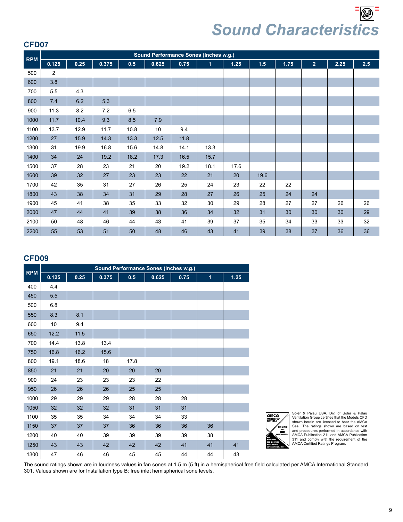$\left|\mathbb{G}\right|$ *Sound Characteristics*

#### **CFD07**

|            |       |      |       |      |       |      | Sound Performance Sones (Inches w.g.) |        |      |      |                |      |     |
|------------|-------|------|-------|------|-------|------|---------------------------------------|--------|------|------|----------------|------|-----|
| <b>RPM</b> | 0.125 | 0.25 | 0.375 | 0.5  | 0.625 | 0.75 | $\mathbf{1}$                          | $1.25$ | 1.5  | 1.75 | 2 <sup>1</sup> | 2.25 | 2.5 |
| 500        | 2     |      |       |      |       |      |                                       |        |      |      |                |      |     |
| 600        | 3.8   |      |       |      |       |      |                                       |        |      |      |                |      |     |
| 700        | 5.5   | 4.3  |       |      |       |      |                                       |        |      |      |                |      |     |
| 800        | 7.4   | 6.2  | 5.3   |      |       |      |                                       |        |      |      |                |      |     |
| 900        | 11.3  | 8.2  | 7.2   | 6.5  |       |      |                                       |        |      |      |                |      |     |
| 1000       | 11.7  | 10.4 | 9.3   | 8.5  | 7.9   |      |                                       |        |      |      |                |      |     |
| 1100       | 13.7  | 12.9 | 11.7  | 10.8 | 10    | 9.4  |                                       |        |      |      |                |      |     |
| 1200       | 27    | 15.9 | 14.3  | 13.3 | 12.5  | 11.8 |                                       |        |      |      |                |      |     |
| 1300       | 31    | 19.9 | 16.8  | 15.6 | 14.8  | 14.1 | 13.3                                  |        |      |      |                |      |     |
| 1400       | 34    | 24   | 19.2  | 18.2 | 17.3  | 16.5 | 15.7                                  |        |      |      |                |      |     |
| 1500       | 37    | 28   | 23    | 21   | 20    | 19.2 | 18.1                                  | 17.6   |      |      |                |      |     |
| 1600       | 39    | 32   | 27    | 23   | 23    | 22   | 21                                    | 20     | 19.6 |      |                |      |     |
| 1700       | 42    | 35   | 31    | 27   | 26    | 25   | 24                                    | 23     | 22   | 22   |                |      |     |
| 1800       | 43    | 38   | 34    | 31   | 29    | 28   | 27                                    | 26     | 25   | 24   | 24             |      |     |
| 1900       | 45    | 41   | 38    | 35   | 33    | 32   | 30                                    | 29     | 28   | 27   | 27             | 26   | 26  |
| 2000       | 47    | 44   | 41    | 39   | 38    | 36   | 34                                    | 32     | 31   | 30   | 30             | 30   | 29  |
| 2100       | 50    | 48   | 46    | 44   | 43    | 41   | 39                                    | 37     | 35   | 34   | 33             | 33   | 32  |
| 2200       | 55    | 53   | 51    | 50   | 48    | 46   | 43                                    | 41     | 39   | 38   | 37             | 36   | 36  |

#### **CFD09**

|            |       |      |       | Sound Performance Sones (Inches w.g.) |       |      |              |      |
|------------|-------|------|-------|---------------------------------------|-------|------|--------------|------|
| <b>RPM</b> | 0.125 | 0.25 | 0.375 | 0.5                                   | 0.625 | 0.75 | $\mathbf{1}$ | 1.25 |
| 400        | 4.4   |      |       |                                       |       |      |              |      |
| 450        | 5.5   |      |       |                                       |       |      |              |      |
| 500        | 6.8   |      |       |                                       |       |      |              |      |
| 550        | 8.3   | 8.1  |       |                                       |       |      |              |      |
| 600        | 10    | 9.4  |       |                                       |       |      |              |      |
| 650        | 12.2  | 11.5 |       |                                       |       |      |              |      |
| 700        | 14.4  | 13.8 | 13.4  |                                       |       |      |              |      |
| 750        | 16.8  | 16.2 | 15.6  |                                       |       |      |              |      |
| 800        | 19.1  | 18.6 | 18    | 17.8                                  |       |      |              |      |
| 850        | 21    | 21   | 20    | 20                                    | 20    |      |              |      |
| 900        | 24    | 23   | 23    | 23                                    | 22    |      |              |      |
| 950        | 26    | 26   | 26    | 25                                    | 25    |      |              |      |
| 1000       | 29    | 29   | 29    | 28                                    | 28    | 28   |              |      |
| 1050       | 32    | 32   | 32    | 31                                    | 31    | 31   |              |      |
| 1100       | 35    | 35   | 34    | 34                                    | 34    | 33   |              |      |
| 1150       | 37    | 37   | 37    | 36                                    | 36    | 36   | 36           |      |
| 1200       | 40    | 40   | 39    | 39                                    | 39    | 39   | 38           |      |
| 1250       | 43    | 43   | 42    | 42                                    | 42    | 41   | 41           | 41   |
| 1300       | 47    | 46   | 46    | 45                                    | 45    | 44   | 44           | 43   |



Soler & Palau USA, Div. of Soler & Palau Ventilation Group certifies that the Models CFD shown herein are licensed to bear the AMCA Seal. The ratings shown are based on test and procedures performed in accordance with AMCA Publication 211 and AMCA Publication 311 and comply with the requirement of the AMCA Certified Ratings Program.

The sound ratings shown are in loudness values in fan sones at 1.5 m (5 ft) in a hemispherical free field calculated per AMCA International Standard 301. Values shown are for Installation type B: free inlet hemispherical sone levels.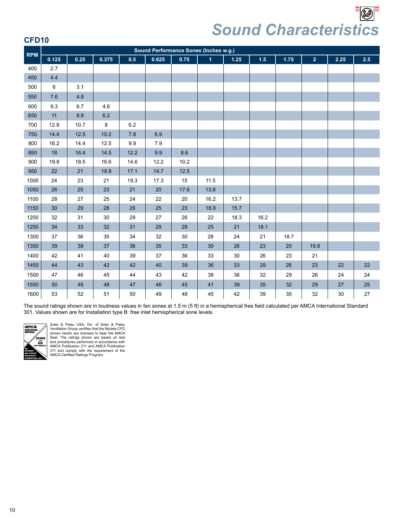*Sound Characteristics*

|--|

| <b>RPM</b> |       |      |         |      |       |        | Sound Performance Sones (Inches w.g.) |      |      |      |                |      |     |
|------------|-------|------|---------|------|-------|--------|---------------------------------------|------|------|------|----------------|------|-----|
|            | 0.125 | 0.25 | 0.375   | 0.5  | 0.625 | 0.75   | $\overline{1}$                        | 1.25 | 1.5  | 1.75 | 2 <sup>1</sup> | 2.25 | 2.5 |
| 400        | 2.7   |      |         |      |       |        |                                       |      |      |      |                |      |     |
| 450        | 4.4   |      |         |      |       |        |                                       |      |      |      |                |      |     |
| 500        | 6     | 3.1  |         |      |       |        |                                       |      |      |      |                |      |     |
| 550        | 7.6   | 4.8  |         |      |       |        |                                       |      |      |      |                |      |     |
| 600        | 9.3   | 6.7  | 4.6     |      |       |        |                                       |      |      |      |                |      |     |
| 650        | 11    | 8.8  | $6.2\,$ |      |       |        |                                       |      |      |      |                |      |     |
| 700        | 12.8  | 10.7 | 8       | 6.2  |       |        |                                       |      |      |      |                |      |     |
| 750        | 14.4  | 12.5 | 10.2    | 7.8  | 6.9   |        |                                       |      |      |      |                |      |     |
| 800        | 16.2  | 14.4 | 12.5    | 9.9  | 7.9   |        |                                       |      |      |      |                |      |     |
| 850        | 18    | 16.4 | 14.5    | 12.2 | 9.9   | 8.6    |                                       |      |      |      |                |      |     |
| 900        | 19.8  | 18.5 | 16.6    | 14.6 | 12.2  | 10.2   |                                       |      |      |      |                |      |     |
| 950        | 22    | 21   | 18.8    | 17.1 | 14.7  | 12.5   |                                       |      |      |      |                |      |     |
| 1000       | 24    | 23   | 21      | 19.3 | 17.3  | 15     | 11.5                                  |      |      |      |                |      |     |
| 1050       | 26    | 25   | 23      | 21   | 20    | 17.6   | 13.8                                  |      |      |      |                |      |     |
| 1100       | 28    | 27   | 25      | 24   | 22    | $20\,$ | 16.2                                  | 13.7 |      |      |                |      |     |
| 1150       | 30    | 29   | 28      | 26   | 25    | 23     | 18.9                                  | 15.7 |      |      |                |      |     |
| 1200       | 32    | 31   | 30      | 29   | 27    | 26     | 22                                    | 18.3 | 16.2 |      |                |      |     |
| 1250       | 34    | 33   | 32      | 31   | 29    | 28     | 25                                    | 21   | 18.1 |      |                |      |     |
| 1300       | 37    | 36   | 35      | 34   | 32    | 30     | 28                                    | 24   | 21   | 18.7 |                |      |     |
| 1350       | 39    | 38   | 37      | 36   | 35    | 33     | 30                                    | 26   | 23   | 20   | 19.8           |      |     |
| 1400       | 42    | 41   | 40      | 39   | 37    | 36     | 33                                    | 30   | 26   | 23   | 21             |      |     |
| 1450       | 44    | 43   | 42      | 42   | 40    | 39     | 36                                    | 33   | 29   | 26   | 23             | 22   | 22  |
| 1500       | 47    | 46   | 45      | 44   | 43    | 42     | 38                                    | 36   | 32   | 29   | 26             | 24   | 24  |
| 1550       | 50    | 49   | 48      | 47   | 46    | 45     | 41                                    | 39   | 35   | 32   | 29             | 27   | 25  |
| 1600       | 53    | 52   | 51      | 50   | 49    | 48     | 45                                    | 42   | 39   | 35   | 32             | 30   | 27  |

The sound ratings shown are in loudness values in fan sones at 1.5 m (5 ft) in a hemispherical free field calculated per AMCA International Standard 301. Values shown are for Installation type B: free inlet hemispherical sone levels.



Soler & Palau USA, Div. of Soler & Palau Ventilation Group certifies that the Models CFD shown herein are licensed to bear the AMCA<br>Seal. The ratings shown are based on test<br>and procedures performed in accordance with<br>AMCA Publication 211 and AMCA Publication<br>311 and comply with the requirement of the<br>AMCA Cer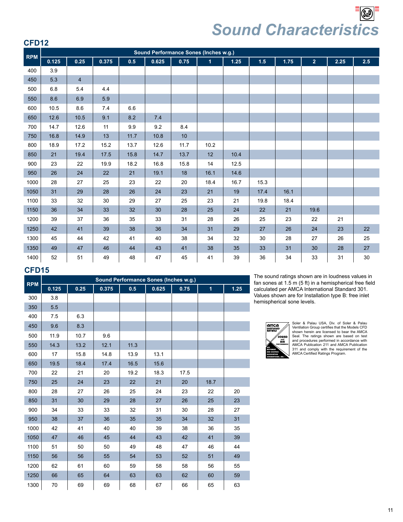*Sound Characteristics*

#### **CFD12**

| <b>RPM</b> |       |                |       |      |       |      | <b>Sound Performance Sones (Inches w.g.)</b> |      |      |      |                |      |         |
|------------|-------|----------------|-------|------|-------|------|----------------------------------------------|------|------|------|----------------|------|---------|
|            | 0.125 | 0.25           | 0.375 | 0.5  | 0.625 | 0.75 | $\mathbf{1}$                                 | 1.25 | 1.5  | 1.75 | 2 <sup>1</sup> | 2.25 | $2.5\,$ |
| 400        | 3.9   |                |       |      |       |      |                                              |      |      |      |                |      |         |
| 450        | 5.3   | $\overline{4}$ |       |      |       |      |                                              |      |      |      |                |      |         |
| 500        | 6.8   | 5.4            | 4.4   |      |       |      |                                              |      |      |      |                |      |         |
| 550        | 8.6   | 6.9            | 5.9   |      |       |      |                                              |      |      |      |                |      |         |
| 600        | 10.5  | 8.6            | 7.4   | 6.6  |       |      |                                              |      |      |      |                |      |         |
| 650        | 12.6  | 10.5           | 9.1   | 8.2  | 7.4   |      |                                              |      |      |      |                |      |         |
| 700        | 14.7  | 12.6           | 11    | 9.9  | 9.2   | 8.4  |                                              |      |      |      |                |      |         |
| 750        | 16.8  | 14.9           | 13    | 11.7 | 10.8  | 10   |                                              |      |      |      |                |      |         |
| 800        | 18.9  | 17.2           | 15.2  | 13.7 | 12.6  | 11.7 | 10.2                                         |      |      |      |                |      |         |
| 850        | 21    | 19.4           | 17.5  | 15.8 | 14.7  | 13.7 | 12                                           | 10.4 |      |      |                |      |         |
| 900        | 23    | 22             | 19.9  | 18.2 | 16.8  | 15.8 | 14                                           | 12.5 |      |      |                |      |         |
| 950        | 26    | 24             | 22    | 21   | 19.1  | 18   | 16.1                                         | 14.6 |      |      |                |      |         |
| 1000       | 28    | 27             | 25    | 23   | 22    | 20   | 18.4                                         | 16.7 | 15.3 |      |                |      |         |
| 1050       | 31    | 29             | 28    | 26   | 24    | 23   | 21                                           | 19   | 17.4 | 16.1 |                |      |         |
| 1100       | 33    | 32             | 30    | 29   | 27    | 25   | 23                                           | 21   | 19.8 | 18.4 |                |      |         |
| 1150       | 36    | 34             | 33    | 32   | 30    | 28   | 25                                           | 24   | 22   | 21   | 19.6           |      |         |
| 1200       | 39    | 37             | 36    | 35   | 33    | 31   | 28                                           | 26   | 25   | 23   | 22             | 21   |         |
| 1250       | 42    | 41             | 39    | 38   | 36    | 34   | 31                                           | 29   | 27   | 26   | 24             | 23   | 22      |
| 1300       | 45    | 44             | 42    | 41   | 40    | 38   | 34                                           | 32   | 30   | 28   | 27             | 26   | 25      |
| 1350       | 49    | 47             | 46    | 44   | 43    | 41   | 38                                           | 35   | 33   | 31   | 30             | 28   | 27      |
| 1400       | 52    | 51             | 49    | 48   | 47    | 45   | 41                                           | 39   | 36   | 34   | 33             | 31   | 30      |

#### **CFD15**

| <b>RPM</b> | Sound Performance Sones (Inches w.g.) |      |       |      |       |      |              |        |
|------------|---------------------------------------|------|-------|------|-------|------|--------------|--------|
|            | 0.125                                 | 0.25 | 0.375 | 0.5  | 0.625 | 0.75 | $\mathbf{1}$ | $1.25$ |
| 300        | 3.8                                   |      |       |      |       |      |              |        |
| 350        | 5.5                                   |      |       |      |       |      |              |        |
| 400        | 7.5                                   | 6.3  |       |      |       |      |              |        |
| 450        | 9.6                                   | 8.3  |       |      |       |      |              |        |
| 500        | 11.9                                  | 10.7 | 9.6   |      |       |      |              |        |
| 550        | 14.3                                  | 13.2 | 12.1  | 11.3 |       |      |              |        |
| 600        | 17                                    | 15.8 | 14.8  | 13.9 | 13.1  |      |              |        |
| 650        | 19.5                                  | 18.4 | 17.4  | 16.5 | 15.6  |      |              |        |
| 700        | 22                                    | 21   | 20    | 19.2 | 18.3  | 17.5 |              |        |
| 750        | 25                                    | 24   | 23    | 22   | 21    | 20   | 18.7         |        |
| 800        | 28                                    | 27   | 26    | 25   | 24    | 23   | 22           | 20     |
| 850        | 31                                    | 30   | 29    | 28   | 27    | 26   | 25           | 23     |
| 900        | 34                                    | 33   | 33    | 32   | 31    | 30   | 28           | 27     |
| 950        | 38                                    | 37   | 36    | 35   | 35    | 34   | 32           | 31     |
| 1000       | 42                                    | 41   | 40    | 40   | 39    | 38   | 36           | 35     |
| 1050       | 47                                    | 46   | 45    | 44   | 43    | 42   | 41           | 39     |
| 1100       | 51                                    | 50   | 50    | 49   | 48    | 47   | 46           | 44     |
| 1150       | 56                                    | 56   | 55    | 54   | 53    | 52   | 51           | 49     |
| 1200       | 62                                    | 61   | 60    | 59   | 58    | 58   | 56           | 55     |
| 1250       | 66                                    | 65   | 64    | 63   | 63    | 62   | 60           | 59     |
| 1300       | 70                                    | 69   | 69    | 68   | 67    | 66   | 65           | 63     |

The sound ratings shown are in loudness values in fan sones at 1.5 m (5 ft) in a hemispherical free field calculated per AMCA International Standard 301. Values shown are for Installation type B: free inlet hemispherical sone levels.



Soler & Palau USA, Div. of Soler & Palau Ventilation Group certifies that the Models CFD shown herein are licensed to bear the AMCA Seal. The ratings shown are based on test and procedures performed in accordance with AMCA Publication 211 and AMCA Publication 311 and comply with the requirement of the AMCA Certified Ratings Program.